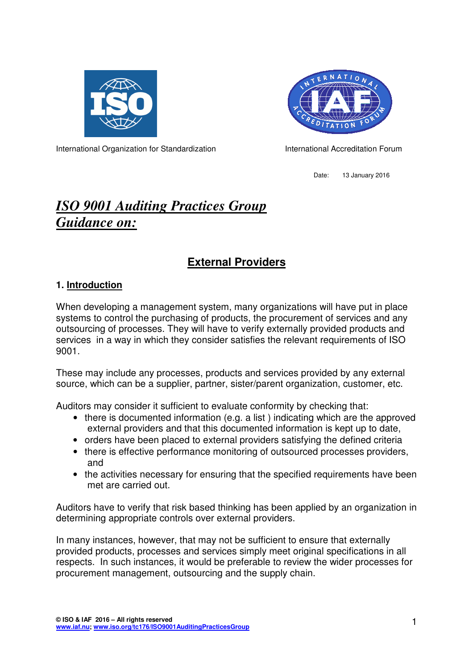



International Organization for Standardization **International Accreditation Forum** 

Date: 13 January 2016

# *ISO 9001 Auditing Practices Group Guidance on:*

## **External Providers**

#### **1. Introduction**

When developing a management system, many organizations will have put in place systems to control the purchasing of products, the procurement of services and any outsourcing of processes. They will have to verify externally provided products and services in a way in which they consider satisfies the relevant requirements of ISO 9001.

These may include any processes, products and services provided by any external source, which can be a supplier, partner, sister/parent organization, customer, etc.

Auditors may consider it sufficient to evaluate conformity by checking that:

- there is documented information (e.g. a list) indicating which are the approved external providers and that this documented information is kept up to date,
- orders have been placed to external providers satisfying the defined criteria
- there is effective performance monitoring of outsourced processes providers, and
- the activities necessary for ensuring that the specified requirements have been met are carried out.

Auditors have to verify that risk based thinking has been applied by an organization in determining appropriate controls over external providers.

In many instances, however, that may not be sufficient to ensure that externally provided products, processes and services simply meet original specifications in all respects. In such instances, it would be preferable to review the wider processes for procurement management, outsourcing and the supply chain.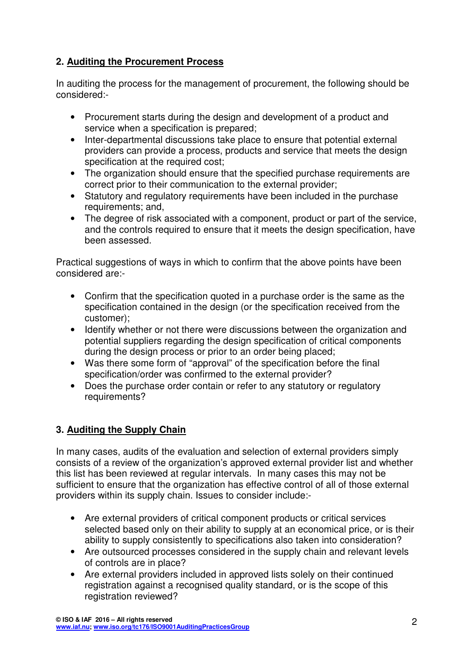## **2. Auditing the Procurement Process**

In auditing the process for the management of procurement, the following should be considered:-

- Procurement starts during the design and development of a product and service when a specification is prepared;
- Inter-departmental discussions take place to ensure that potential external providers can provide a process, products and service that meets the design specification at the required cost;
- The organization should ensure that the specified purchase requirements are correct prior to their communication to the external provider;
- Statutory and regulatory requirements have been included in the purchase requirements; and,
- The degree of risk associated with a component, product or part of the service, and the controls required to ensure that it meets the design specification, have been assessed.

Practical suggestions of ways in which to confirm that the above points have been considered are:-

- Confirm that the specification quoted in a purchase order is the same as the specification contained in the design (or the specification received from the customer);
- Identify whether or not there were discussions between the organization and potential suppliers regarding the design specification of critical components during the design process or prior to an order being placed;
- Was there some form of "approval" of the specification before the final specification/order was confirmed to the external provider?
- Does the purchase order contain or refer to any statutory or regulatory requirements?

## **3. Auditing the Supply Chain**

In many cases, audits of the evaluation and selection of external providers simply consists of a review of the organization's approved external provider list and whether this list has been reviewed at regular intervals. In many cases this may not be sufficient to ensure that the organization has effective control of all of those external providers within its supply chain. Issues to consider include:-

- Are external providers of critical component products or critical services selected based only on their ability to supply at an economical price, or is their ability to supply consistently to specifications also taken into consideration?
- Are outsourced processes considered in the supply chain and relevant levels of controls are in place?
- Are external providers included in approved lists solely on their continued registration against a recognised quality standard, or is the scope of this registration reviewed?